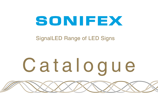## SONIFEX

### SignalLED Range of LED Signs

# Catalogue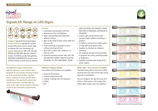

**SignalLED Range of LED Signs**



**Category:** SignalLED Illuminated Signs. **Product Function:** Signage for outside studio/office doors and on studio walls to indicate Mic Live, Recording, etc **Typical Applications:** MIC LIVE, ON-AIR, PHONE and RECORD signs for radio/TV studios, TX-REH for production galleries, MEETING IN PROGRESS for board rooms, SILENCE PLEASE outside lecture theatres.

**The SignalLED range of illuminated RGB LED signs are a new range of signs designed for use outside recording studios, on-air & production studios, meeting rooms, conference rooms and for fixed installations. The sign itself contains the control electronics, and RGB LEDs are used, so the signs can be simply configured onsite for your particular requirements.**

**ALIE** 

#### **Features:**

- Low power consumption, only 4W.
- Maintenance free, LED lighting.
- Multi-coloured RGB LEDs offering 9 different colours.
- Sign can be made to flash, pulse, fade and be on or off.
- Flush-mounting as standard or end/ ceiling-mounting with kits.
- 20cm (8") or 40cm (16") widths or 2 x 20cm (2 x 8").
- Standard wording includes: MIC LIVE, ON AIR, RECORD, PHONE, TRAFFIC FLAG ON, AD BREAK, TX, REH, REHEARSAL, DOOR,

OBIT, NO ENTRY, EXIT, SILENCE PLEASE, MEETING IN PROGRESS, INTERVIEW IN **PROGRESS** 

- Custom signs can be etched with company logos, different wording or graphics.
- 2 x GPIs for control from a light switch, or fader GPO (pull down to 0V).
- Supplied as standard as red/green switching.
- Use separate remote control (LD-RPC) to program the colour, switching mode or brightness.
- Supplied complete with fixings & DC power supply.

#### **Different Display Modes**

Five modes of illumination are available:

- Constant illumination.
- Flashing, regularly on/off.
- Pulsing flashing, then off, repeated
- Fading
- Off

**RGB LEDs - Any Colours Possible**

The illuminating LEDs in the unit are RGB meaning that the colour of the sign can be selected on installation.

You can configure the sign from one of 9 colours: white, green, red, orange, blue, yellow, light orange, cyan and magenta.



*9 different colours of the SignalLED Sign.*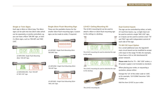#### **Single or Twin Signs**

Each sign is 40cm or 20cm long. The 40cm signs can be split into two 20cm sides which can be separately, or jointly controlled, e.g. you can have a 40cm 'ON AIR' sign, or twin 2 x 20cm signs, such as 'ON AIR' and 'MIC LIVE'.

*LD-40F1ONA Single Flush Mounting 40cm 'ON AIR' Sign.*



*LD-40F2ONA-MCL Twin 'ON AIR' & 'MIC LIVE' sign.*

#### **Single 20cm Flush Mounting Sign**

These are the available choices for the smaller 20cm flush-mounting signs. Custom signs can be made to order, if required.



*LD-20F1REC Single Flush Mounting 20cm 'RECORD' Sign.*



*LD-20F1ONA Single Flush Mounting 20cm 'ON AIR' Sign.*



*LD-20F1MCL Single Flush Mounting 20cm 'MIC LIVE' Sign.*

#### **LD-KC1 Ceiling Mounting Kit**

The LD-KC1 mounting kit can be used to attach a 40cm or 20cm flush mounting sign to the ceiling or a desktop.



*The LD-KC1 mounting kit used to attached the sign to the ceiling.*



*The LD-KC1 mounting kit used to attached the sign to the desktop.*



*The LD-KC1 mounting kit.*

#### **Dual Control Inputs**

The sign can be controlled by either, or both, of 2 pull-low inputs, e.g. a single input can be used to control a single 'MIC LIVE' sign, or 2 inputs can be used to control a twin 'TX' and 'REH' sign with independent control of each side of the sign.

#### **7V-36V DC Input Option**

For a small additional cost, the SignalLED main circuit board can be modified to accept a DC input in the range 7V-36V, for example, if you have a 12V or 24V distributed DC power network.

**Please note** that for 7V – 36V 'LDD' orders, a DC power supply is not included as standard.

When placing your order, or requesting a quotation, please either:

Change the 'LD' of the order code to 'LDD', so for example, 'LD-F1ONA' becomes 'LDD-F1ONA', or:

Add the item LD-DC to your order.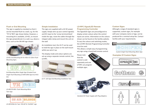#### **Flush or End Mounting**

The sign is supplied as standard so that it can be mounted flush to a wall, e.g. for the 'TX' & 'REH' sign shown below. However, a mounting kit is available, LD-KE1, to mount the sign perpendicular to a wall, e.g. above a door, such as the ON AIR sign shown.



*LD-KE1 End Mounting Kit For 40cm Or 20cm Flush Mounting Signs.*



*End Mounting 40cm Single Sign (Created From Single Flush Mounting LD-40F1ONA Sign & LD-KE1 kit).* 



#### *LD-40F2TX-REH Flush Mounting 40cm Twin Sign.*



#### **Simple Installation**

The signs are supplied with a 6V DC power supply. Simply wire up your control signal(s) and DC input to the 'screw terminal block' inside the sign, route the cables through the integral cable clamp and mount the unit on the wall.

An installation tool, the LD-IT can be used to hold the sign in place on the wall mount whilst you wire it up.

The display mode and colour options are set-up using a separate remote control, the LD-RPC.



*LD-IT LED Sign End Mounting Installation Tool.*

#### **LD-RPC SignalLED Remote Programming Controller**

The SignalLED signs are preconfigured to display certain colours when the control inputs are active. Information on the colours shown can be found on the Sonifex website. To vary the colours and switching modes, the LD-RPC Remote Programming Controller must be used.

This allows a simple way of programming any sign using a hand-held remote control.

Please note that the control is sold separately and one LP-RPC can program multiple signs.

#### **Custom Signs**

Although a range of standard signs is supported, custom signs, for example with your company name or logo, can be produced for a nominal setup fee. Contact Sonifex with your requirements.



*Custom Single Flush Mounting 40cm Sign.*

#### **Examples Of Custom Signs**







*Standard DC Power Supply with Plug Adapters.*





*LD-40F2ONA-SIL Twin 'ON AIR' & 'SILENCE' sign.*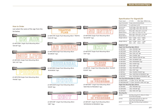#### **Specification For SignalLED**

| Power Input:                          | 5-7V DC                                 | 40cm Sign: 500mA max                                                 |  |  |  |
|---------------------------------------|-----------------------------------------|----------------------------------------------------------------------|--|--|--|
| Input Connector:                      | 4 way screw terminal block              |                                                                      |  |  |  |
| Control Inputs:                       | 2 x pull-down to 0V                     |                                                                      |  |  |  |
| <b>Dimensions</b><br>(Perspex):       |                                         | Small Single: 20cm (W) x 8cm (H)<br>Large Single: 40cm (W) x 8cm (H) |  |  |  |
| <b>Dimensions</b><br>(Boxed 20cm):    |                                         | 40cm (W) x 20cm (D) x 11cm (H)<br>15.7" (W) x 7.9" (D) x 4.3" (H)    |  |  |  |
| Dimensions<br>(Boxed 40cm):           |                                         | 60cm (W) x 20cm (D) x 11cm (H)<br>23.6" (W) x 7.9" (D) x 4.3" (H)    |  |  |  |
| Weight (20cm):                        | $0.35$ kg<br>Nett:<br>$0.8$ lb<br>Nett: | Gross:<br>0.85kg<br>$1.9$ lb<br>Gross:                               |  |  |  |
| Weight (40cm):                        | Nett: 0.55kg<br>$1.2$ lb<br>Nett:       | Gross: 1.15kg<br>Gross:<br>$2.6$ lb                                  |  |  |  |
| <b>Equipment Type</b>                 |                                         |                                                                      |  |  |  |
| Single Flush Mounting Signs (40cm):   |                                         |                                                                      |  |  |  |
| LD-40F1REC                            | 40cm 'RECORD' Sign                      |                                                                      |  |  |  |
| LD-40F1ONA                            | 40cm 'ON AIR' Sign                      |                                                                      |  |  |  |
| LD-40F1MCL                            | 40cm 'MIC LIVE' Sign                    |                                                                      |  |  |  |
| LD-40F1PHN                            | 40cm 'PHONE' Sign                       |                                                                      |  |  |  |
| LD-40F1TRF                            |                                         | 40cm 'TRAFFIC FLAG ON' Sign                                          |  |  |  |
| LD-40F1ADB                            | 40cm 'AD BREAK' Sign                    |                                                                      |  |  |  |
| LD-40F1REH                            | 40cm 'REHEARSAL' Sign                   |                                                                      |  |  |  |
| LD-40F1DOR                            | 40cm 'DOOR' Sign                        |                                                                      |  |  |  |
| LD-40F1OBT                            | 40cm 'OBIT' Sign                        |                                                                      |  |  |  |
| LD-40F1NOE                            | 40cm 'NO ENTRY' Sign                    |                                                                      |  |  |  |
| LD-40F1EXIT                           | 40cm 'EXIT' Sign                        |                                                                      |  |  |  |
| LD-40F1SIL                            |                                         | 40cm 'SILENCE PLEASE' Sign                                           |  |  |  |
| LD-40F1MET                            | 40cm 'MEETING IN PROGRESS' Sign         |                                                                      |  |  |  |
| LD-40F1INT                            |                                         | 40cm 'INTERVIEW IN PROGRESS' Sign                                    |  |  |  |
| Twin Flush Mounting Signs (2 x 20cm): |                                         |                                                                      |  |  |  |
| LD-40F2TX-REH                         |                                         | 2 x 20cm 'TX' & ' REH' Sign                                          |  |  |  |
|                                       |                                         | LD-40F2ONA-MCL 2 x 20cm 'ON AIR' & 'MIC LIVE' Sign                   |  |  |  |
| Single Flush Mounting Signs (20cm):   |                                         |                                                                      |  |  |  |
| LD-20F1REC                            | 20cm 'RECORD' Sign                      |                                                                      |  |  |  |
| LD-20F1ONA                            | 20cm 'ON AIR' Sign                      |                                                                      |  |  |  |
| LD-20F1MCL                            | 20cm 'MIC LIVE' Sign                    |                                                                      |  |  |  |
| <b>Mounting Kits:</b>                 |                                         |                                                                      |  |  |  |
| LD-KF1                                | <b>Flush Mounting Signs</b>             | End Mounting Kit For 40cm Or 20cm                                    |  |  |  |
| LD-KC1                                | 20cm Flush Mounting Signs               | Ceiling Mounting Kit For 40cm Or                                     |  |  |  |
| LD-IT                                 | Tool                                    | LED Sign End Mounting Installation                                   |  |  |  |

#### **How to Order**

Just select the name of the sign from the list below.



*LD-40F1ONA Single Flush Mounting 40cm 'ON AIR' Sign.*

| MIG LIVI |  |
|----------|--|
|          |  |

*LD-40F1MCL Single Flush Mounting 40cm 'MIC LIVE' Sign.*

*LD-40F1PHN Single Flush Mounting 40cm 'PHONE' Sign.*

TRAFFIC<br>FLAG

*LD-40F1TRF Single Flush Mounting 40cm 'TRAFFIC FLAG ON' Sign.*



*LD-40F1ADB Single Flush Mounting 40cm 'AD BREAK' Sign.*



*LD-40F1REH Single Flush Mounting 40cm 'REHEARSAL' Sign.*



*LD-40F1DOR Single Flush Mounting 40cm 'DOOR' Sign.*



*LD-40F1OBT Single Flush Mounting 40cm 'OBIT' Sign.*

*LD-40F1NOE Single Flush Mounting 40cm 'NO ENTRY' Sign.*



*LD-40F1EXIT Single Flush Mounting 40cm 'EXIT' Sign.*



*LD-40F1SIL Single Flush Mounting 40cm 'SILENCE PLEASE' Sign.*

#### **MEETIMG** IN PROGRESS

*LD-40F1MET Single Flush Mounting 40cm 'MEETING IN PROGRESS' Sign.*



*LD-40F1INT Single Flush Mounting 40cm 'INTERVIEW IN PROGRESS' Sign.*